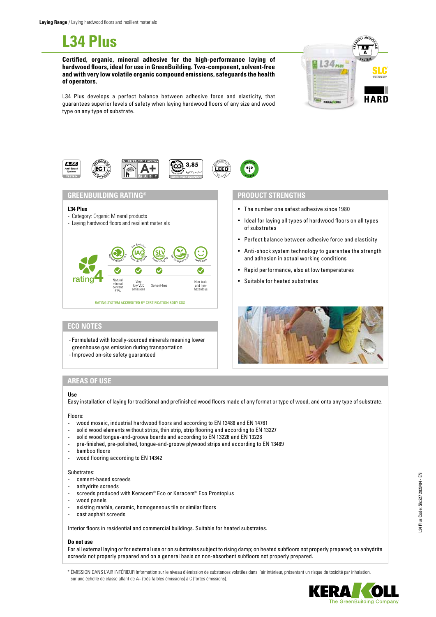# **L34 Plus**

**Certified, organic, mineral adhesive for the high-performance laying of hardwood floors, ideal for use in GreenBuilding. Two-component, solvent-free and with very low volatile organic compound emissions, safeguards the health of operators.** 



L34 Plus develops a perfect balance between adhesive force and elasticity, that guarantees superior levels of safety when laying hardwood floors of any size and wood type on any type of substrate.



# **GREENBUILDING RATING® PRODUCT STRENGTHS**

## **L34 Plus**

- Category: Organic Mineral products
- Laying hardwood floors and resilient materials



# **ECO NOTES**

- Formulated with locally-sourced minerals meaning lower
- greenhouse gas emission during transportation
- Improved on-site safety guaranteed

- The number one safest adhesive since 1980
- Ideal for laying all types of hardwood floors on all types of substrates
- Perfect balance between adhesive force and elasticity
- Anti-shock system technology to guarantee the strength and adhesion in actual working conditions
- Rapid performance, also at low temperatures
- Suitable for heated substrates



# **AREAS OF USE**

## **Use**

Easy installation of laying for traditional and prefinished wood floors made of any format or type of wood, and onto any type of substrate.

## Floors:

- wood mosaic, industrial hardwood floors and according to EN 13488 and EN 14761
- solid wood elements without strips, thin strip, strip flooring and according to EN 13227
- solid wood tongue-and-groove boards and according to EN 13226 and EN 13228
- pre-finished, pre-polished, tongue-and-groove plywood strips and according to EN 13489
- bamboo floors
- wood flooring according to EN 14342

## Substrates:

- cement-based screeds
- anhydrite screeds
- screeds produced with Keracem® Eco or Keracem® Eco Prontoplus
- wood panels
- existing marble, ceramic, homogeneous tile or similar floors
- cast asphalt screeds

Interior floors in residential and commercial buildings. Suitable for heated substrates.

# **Do not use**

For all external laying or for external use or on substrates subject to rising damp; on heated subfloors not properly prepared; on anhydrite screeds not properly prepared and on a general basis on non-absorbent subfloors not properly prepared.

\* ÉMISSION DANS L'AIR INTÉRIEUR Information sur le niveau d'émission de substances volatiles dans l'air intérieur, présentant un risque de toxicité par inhalation, sur une échelle de classe allant de A+ (très faibles émissions) à C (fortes émissions).

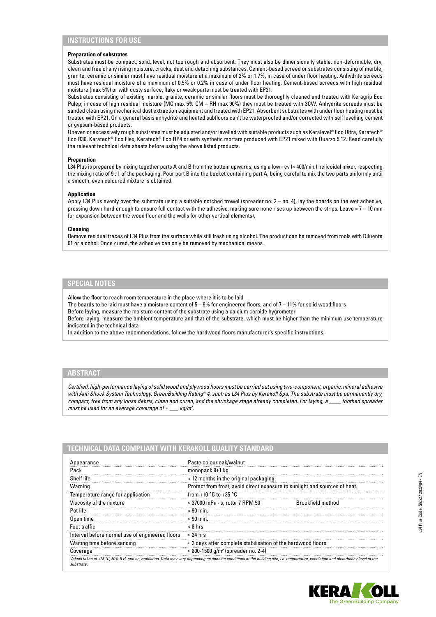# **INSTRUCTIONS FOR USE**

#### **Preparation of substrates**

Substrates must be compact, solid, level, not too rough and absorbent. They must also be dimensionally stable, non-deformable, dry, clean and free of any rising moisture, cracks, dust and detaching substances. Cement-based screed or substrates consisting of marble, granite, ceramic or similar must have residual moisture at a maximum of 2% or 1.7%, in case of under floor heating. Anhydrite screeds must have residual moisture of a maximum of 0.5% or 0.2% in case of under floor heating. Cement-based screeds with high residual moisture (max 5%) or with dusty surface, flaky or weak parts must be treated with EP21.

Substrates consisting of existing marble, granite, ceramic or similar floors must be thoroughly cleaned and treated with Keragrip Eco Pulep; in case of high residual moisture (MC max 5% CM – RH max 90%) they must be treated with 3CW. Anhydrite screeds must be sanded clean using mechanical dust extraction equipment and treated with EP21. Absorbent substrates with under floor heating must be treated with EP21. On a general basis anhydrite and heated subfloors can't be waterproofed and/or corrected with self levelling cement or gypsum-based products.

Uneven or excessively rough substrates must be adjusted and/or levelled with suitable products such as Keralevel® Eco Ultra, Keratech® Eco R30, Keratech® Eco Flex, Keratech® Eco HP4 or with synthetic mortars produced with EP21 mixed with Quarzo 5.12. Read carefully the relevant technical data sheets before using the above listed products.

#### **Preparation**

L34 Plus is prepared by mixing together parts A and B from the bottom upwards, using a low-rev (≈ 400/min.) helicoidal mixer, respecting the mixing ratio of 9 : 1 of the packaging. Pour part B into the bucket containing part A, being careful to mix the two parts uniformly until a smooth, even coloured mixture is obtained.

#### **Application**

Apply L34 Plus evenly over the substrate using a suitable notched trowel (spreader no. 2 – no. 4), lay the boards on the wet adhesive, pressing down hard enough to ensure full contact with the adhesive, making sure none rises up between the strips. Leave  $\approx$  7 – 10 mm for expansion between the wood floor and the walls (or other vertical elements).

#### **Cleaning**

Remove residual traces of L34 Plus from the surface while still fresh using alcohol. The product can be removed from tools with Diluente 01 or alcohol. Once cured, the adhesive can only be removed by mechanical means.

# **SPECIAL NOTES**

Allow the floor to reach room temperature in the place where it is to be laid

The boards to be laid must have a moisture content of  $5 - 9%$  for engineered floors, and of  $7 - 11%$  for solid wood floors

Before laying, measure the moisture content of the substrate using a calcium carbide hygrometer

Before laying, measure the ambient temperature and that of the substrate, which must be higher than the minimum use temperature indicated in the technical data

In addition to the above recommendations, follow the hardwood floors manufacturer's specific instructions.

# **ABSTRACT**

*Certified, high-performance laying of solid wood and plywood floors must be carried out using two-component, organic, mineral adhesive with Anti Shock System Technology, GreenBuilding Rating® 4, such as L34 Plus by Kerakoll Spa. The substrate must be permanently dry, compact, free from any loose debris, clean and cured, and the shrinkage stage already completed. For laying, a \_\_\_\_ toothed spreader must be used for an average coverage of ≈ \_\_\_ kg/m2 .*

| Appearance                                      | Paste colour oak/walnut                                                   |                   |
|-------------------------------------------------|---------------------------------------------------------------------------|-------------------|
| Pack                                            | monopack 9+1 kg                                                           |                   |
| Shelf life                                      | $\approx$ 12 months in the original packaging                             |                   |
| Warning                                         | Protect from frost, avoid direct exposure to sunlight and sources of heat |                   |
| Temperature range for application               | from +10 $^{\circ}$ C to +35 $^{\circ}$ C                                 |                   |
| Viscosity of the mixture                        | $\approx$ 37000 mPa $\cdot$ s, rotor 7 RPM 50                             | Brookfield method |
| Pot life                                        | $\approx$ 90 min.                                                         |                   |
| Open time                                       | $\approx 90$ min.                                                         |                   |
| Foot traffic                                    | $\approx 8$ hrs                                                           |                   |
| Interval before normal use of engineered floors | $\approx$ 24 hrs                                                          |                   |
| Waiting time before sanding                     | $\approx$ 2 days after complete stabilisation of the hardwood floors      |                   |
| Coverage                                        | $\approx$ 800-1500 g/m <sup>2</sup> (spreader no. 2-4)                    |                   |